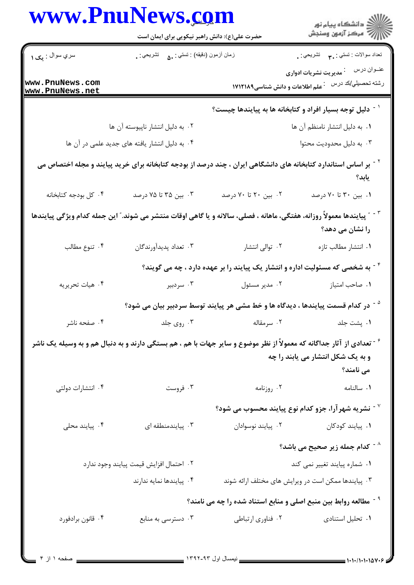| www.PnuNews.com                                                                                                                              | حضرت علی(ع): دانش راهبر نیکویی برای ایمان است     |                                                                                                                                        | ِ<br>∭ دانشڪاه پيام نور<br>∭ مرڪز آزمون وسنڊش                          |
|----------------------------------------------------------------------------------------------------------------------------------------------|---------------------------------------------------|----------------------------------------------------------------------------------------------------------------------------------------|------------------------------------------------------------------------|
| سري سوال : يک ١                                                                                                                              | زمان أزمون (دقيقه) : تستي : ۵۰         تشريحي : . |                                                                                                                                        | نعداد سوالات : تستبي : پم       تشريحي : .                             |
| www.PnuNews.com<br>www.PnuNews.net                                                                                                           |                                                   | علم اطلاعات و دانش شناسی۱۷۱۲۱۸۹                                                                                                        | عنــوان درس<br><sup>:</sup> مدیریت نشریات ادواری<br>رشته تحصيلي/كد درس |
|                                                                                                                                              |                                                   | <sup>۱ -</sup> دلیل توجه بسیار افراد و کتابخانه ها به پیایندها چیست؟                                                                   |                                                                        |
|                                                                                                                                              | ۰۲ به دلیل انتشار ناپیوسته آن ها                  |                                                                                                                                        | ٠١. به دليل انتشار نامنظم آن ها                                        |
|                                                                                                                                              | ۰۴ به دلیل انتشار یافته های جدید علمی در آن ها    |                                                                                                                                        | ۰۳ به دلیل محدودیت محتوا                                               |
|                                                                                                                                              |                                                   | <sup>۲</sup> <sup>-</sup> بر اساس استاندارد کتابخانه های دانشگاهی ایران ، چند درصد از بودجه کتابخانه برای خرید پیایند و مجله اختصاص می | يابد؟                                                                  |
| ۰۴ کل بودجه کتابخانه                                                                                                                         | ۰۳ بین ۳۵ تا ۷۵ درصد                              | ۰۲ بین ۲۰ تا ۷۰ درصد                                                                                                                   | ۰۱ بین ۳۰ تا ۷۰ درصد                                                   |
| <sup>۳ -</sup> ″ پیایندها معمولاً روزانه، هفتگی، ماهانه ، فصلی، سالانه و یا گاهی اوقات منتشر می شوند.″ این جمله کدام ویژگی پیایندها          |                                                   |                                                                                                                                        | را نشان می دهد؟                                                        |
| ۰۴ تنوع مطالب                                                                                                                                | ۰۳ تعداد پديدآورندگان                             | ۰۲ توالی انتشار                                                                                                                        | ٠١. انتشار مطالب تازه                                                  |
|                                                                                                                                              |                                                   | <sup>۲</sup> <sup>-</sup> به شخصی که مسئولیت اداره و انتشار یک پیایند را بر عهده دارد ، چه می گویند؟                                   |                                                                        |
| ۰۴ هيات تحريريه                                                                                                                              | ۰۳ سردبیر                                         | ۰۲ مدیر مسئول                                                                                                                          | ٠١ صاحب امتياز                                                         |
|                                                                                                                                              |                                                   | <sup>۵ -</sup> در کدام قسمت پیایندها ، دیدگاه ها و خط مشی هر پیایند توسط سردبیر بیان می شود؟                                           |                                                                        |
| ۰۴ صفحه ناشر                                                                                                                                 | ۰۳ روی جلد                                        | ٠٢ سرمقاله                                                                                                                             | ٠١. يشت جلد                                                            |
| <sup>۶</sup> <sup>-</sup> تعدادی از آثار جداگانه که معمولاً از نظر موضوع و سایر جهات با هم ، هم بستگی دارند و به دنبال هم و به وسیله یک ناشر |                                                   |                                                                                                                                        | و به یک شکل انتشار می یابند را چه<br>می نامند؟                         |
| ۰۴ انتشارات دولتی                                                                                                                            | ۰۳ فروست                                          | ۰۲ روزنامه                                                                                                                             | ٠١. سالنامه                                                            |
|                                                                                                                                              |                                                   |                                                                                                                                        | $^{\circ}$ زشریه شهرآرا، جزو کدام نوع پیایند محسوب می شود $^{\circ}$   |
| ۰۴ پیایند محلی                                                                                                                               | ۰۳ پیایندمنطقه ای                                 | ٠٢ پيايند نوسوادان                                                                                                                     | ۰۱ پیایند کودکان                                                       |
|                                                                                                                                              |                                                   |                                                                                                                                        | د - کدام جمله زیر صحیح می باشد $^{\wedge}$                             |
| ٠٢ احتمال افزايش قيمت پيايند وجود ندارد                                                                                                      |                                                   |                                                                                                                                        | ٠١ شماره پيايند تغيير نمي كند                                          |
|                                                                                                                                              | ۰۴ پیایندها نمایه ندارند                          |                                                                                                                                        | ۰۳ پیایندها ممکن است در ویرایش های مختلف ارائه شوند                    |
|                                                                                                                                              |                                                   | <sup>۹ -</sup> مطالعه روابط بین منبع اصلی و منابع استناد شده را چه می نامند؟                                                           |                                                                        |
| ۰۴ قانون برادفورد                                                                                                                            | ۰۳ دسترسی به منابع                                | ۰۲ فناوري ارتباطي                                                                                                                      | ٠١ تحليل استنادى                                                       |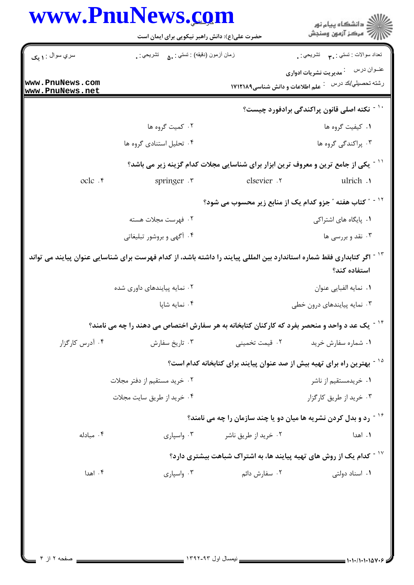|                                    | www.PnuNews.com                                                                                                                    |                                 | گ دانشگاه پيام نور<br>//<br>//                                                      |  |
|------------------------------------|------------------------------------------------------------------------------------------------------------------------------------|---------------------------------|-------------------------------------------------------------------------------------|--|
|                                    | حضرت علی(ع): دانش راهبر نیکویی برای ایمان است                                                                                      |                                 |                                                                                     |  |
| سري سوال : <b>۱ يک</b>             | زمان أزمون (دقيقه) : تستى : ۵۰       تشريحي : .                                                                                    |                                 | نعداد سوالات : نستبي : ۴ <b>٫۰</b> ۰ نشريحي : <sub>•</sub>                          |  |
| www.PnuNews.com<br>www.PnuNews.net |                                                                                                                                    | علم اطلاعات و دانش شناسی1۷۱۲۱۸۹ | عنــوان درس<br><sup>:</sup> مدیریت نشریات ادواری<br>رشته تحصيل <i>ي </i> كد درس :   |  |
|                                    |                                                                                                                                    |                                 | نکته اصلی قانون پراکندگی برادفورد چیست؟                                             |  |
|                                    | ۰۲ کمیت گروه ها                                                                                                                    |                                 | ٠١ كيفيت گروه ها                                                                    |  |
|                                    | ۰۴ تحلیل استنادی گروه ها                                                                                                           |                                 | ۰۳ پراکندگی گروه ها                                                                 |  |
|                                    | <sup>۱۱ -</sup> یکی از جامع ترین و معروف ترین ابزار برای شناسایی مجلات کدام گزینه زیر می باشد؟                                     |                                 |                                                                                     |  |
| ocle .r                            | springer .                                                                                                                         | elsevier .v                     | ulrich .                                                                            |  |
|                                    | <b>" کتاب هفته " جزو کدام یک از منابع زیر محسوب می شود؟</b>                                                                        |                                 |                                                                                     |  |
|                                    | ٢. فهرست مجلات هسته                                                                                                                |                                 | ٠١. پایگاه های اشتراکی                                                              |  |
|                                    | ۰۴ آگهی و بروشور تبلیغاتی                                                                                                          |                                 | ۰۳ نقد و بررسی ها                                                                   |  |
|                                    | <sup>۱۳ -</sup> اگر کتابداری فقط شماره استاندارد بین المللی پیایند را داشته باشد، از کدام فهرست برای شناسایی عنوان پیایند می تواند |                                 | استفاده كند؟                                                                        |  |
|                                    | ۰۲ نمایه پیایندهای داوری شده                                                                                                       |                                 | ٠١. نمايه الفبايي عنوان                                                             |  |
|                                    | ۰۴ نمایه شاپا                                                                                                                      |                                 | ۰۳ نمایه پیایندهای درون خطی                                                         |  |
|                                    | <sup>۱۴ -</sup> یک عد د واحد و منحصر بفرد که کارکنان کتابخانه به هر سفارش اختصاص می دهند را چه می نامند؟                           |                                 |                                                                                     |  |
| ۰۴ آدرس کارگزار                    | ۰۳ تاریخ سفارش                                                                                                                     | ۰۲ قیمت تخمینی                  | ۰۱ شماره سفارش خرید                                                                 |  |
|                                    |                                                                                                                                    |                                 | <sup>۱۵ -</sup> بهترین راه برای تهیه بیش از صد عنوان پیایند برای کتابخانه کدام است؟ |  |
|                                    | ۰۲ خرید مستقیم از دفتر مجلات                                                                                                       |                                 | ۰۱ خریدمستقیم از ناشر                                                               |  |
|                                    | ۰۴ خرید از طریق سایت مجلات                                                                                                         |                                 | ۰۳ خرید از طریق کارگزار                                                             |  |
|                                    |                                                                                                                                    |                                 | <sup>۱۶ -</sup> رد و بدل کردن نشریه ها میان دو یا چند سازمان را چه می نامند؟        |  |
| ۰۴ مبادله                          | ۰۳ واسیاری                                                                                                                         | ۰۲ خرید از طریق ناشر            | ۰۱ اهدا                                                                             |  |
|                                    |                                                                                                                                    |                                 | د - کدام یک از روش های تهیه پیایند ها، به اشتراک شباهت بیشتری دارد؟                 |  |
|                                    |                                                                                                                                    |                                 |                                                                                     |  |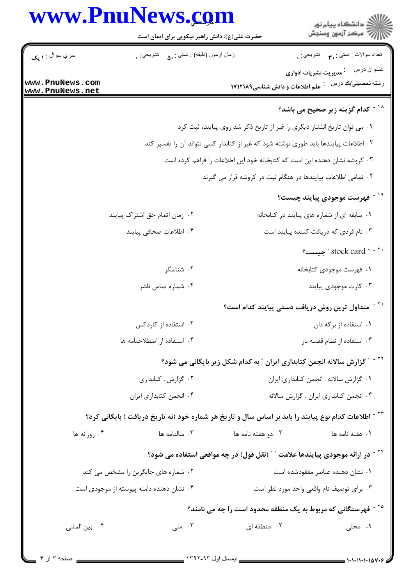|                                    | www.PnuNews.com                                                                                                  |                                                                                      |                                                                                                 |
|------------------------------------|------------------------------------------------------------------------------------------------------------------|--------------------------------------------------------------------------------------|-------------------------------------------------------------------------------------------------|
|                                    | حضرت علی(ع): دانش راهبر نیکویی برای ایمان است                                                                    |                                                                                      | ر<br>پر دانشگاه پيام نور<br>پر مرکز آزمون وسنجش                                                 |
| سري سوال : ١ يک                    | زمان أزمون (دقيقه) : تستي : .ه       تشريحي : .                                                                  |                                                                                      | نعداد سوالات : تستبي : ٣ <b>.</b> تشريحي : .                                                    |
| www.PnuNews.com<br>www.PnuNews.net |                                                                                                                  | علم اطلاعات و دانش شناسی۱۷۱۲۱۸۹                                                      | عنــوان درس<br><sup>:</sup> مدیریت نشریات ادواری<br>رشته تحصىل <i>ي </i> كد درس :               |
|                                    |                                                                                                                  |                                                                                      | د - کدام گزینه زیر صحیح می باشد؟ $^{\backprime\,\lambda}$                                       |
|                                    |                                                                                                                  | ۰۱ می توان تاریخ انتشار دیگری را غیر از تاریخ ذکر شد روی پیایند، ثبت کرد             |                                                                                                 |
|                                    |                                                                                                                  | ۰۲ اطلاعات پیایندها باید طوری نوشته شود که غیر از کتابدار کسی نتواند آن را تفسیر کند |                                                                                                 |
|                                    |                                                                                                                  | ۰۳ کروشه نشان دهنده این است که کتابخانه خود این اطلاعات را فراهم کرده است            |                                                                                                 |
|                                    |                                                                                                                  | ۰۴ تمامی اطلاعات پیایندها در هنگام ثبت در کروشه قرار می گیرند                        |                                                                                                 |
|                                    |                                                                                                                  |                                                                                      | <sup>۱۹ -</sup> فهرست موجودی پیایند چیست؟                                                       |
|                                    | ۰۲ زمان اتمام حق اشتراک پیایند                                                                                   |                                                                                      | ۰۱ سابقه ای از شماره های پیایند در کتابخانه                                                     |
|                                    | ۰۴ اطلاعات صحافی پیایند                                                                                          |                                                                                      | ۰۳ نام فردی که دریافت کننده پیایند است                                                          |
|                                    |                                                                                                                  |                                                                                      | " stock card " - "                                                                              |
|                                    | ۰۲ شناسگر                                                                                                        |                                                                                      | ۰۱ فهرست موجودی کتابخانه                                                                        |
|                                    | ۰۴ شماره تماس ناشر                                                                                               |                                                                                      | ۰۳ کارت موجودی پیایند                                                                           |
|                                    |                                                                                                                  |                                                                                      | <sup>۲۱ -</sup> متداول ترین روش دریافت دستی پیایند کدام است؟                                    |
|                                    | ۰۲ استفاده از کاردکس                                                                                             |                                                                                      | ٠١. اسنفاده از برگه دان                                                                         |
|                                    | ۰۴ استفاده از اصطلاحنامه ها                                                                                      |                                                                                      | ۰۳ استفاده از نظام قفسه باز                                                                     |
|                                    |                                                                                                                  |                                                                                      | <sup>۲۲ -</sup> "گزارش سالانه انجمن کتابداری ایران <sup>"</sup> به کدام شکل زیر بایگانی می شود؟ |
|                                    | ۰۲ گزارش . کتابداری                                                                                              | ٠١ گزارش سالانه . انجمن كتابدارى ايران                                               |                                                                                                 |
|                                    | ۰۴ انجمن كتابداري ايران                                                                                          |                                                                                      | ٠٣ انجمن كتابداري ايران . كزارش سالانه                                                          |
|                                    | <sup>۲۳ -</sup> اطلاعات کدام نوع پیایند را باید بر اساس سال و تاریخ هر شماره خود (نه تاریخ دریافت ) بایگانی کرد؟ |                                                                                      |                                                                                                 |
| ۰۴ روزانه ها                       | ۰۳ سالنامه ها                                                                                                    | ۰۲ دو هفته نامه ها                                                                   | ۰۱ هفته نامه ها                                                                                 |
|                                    |                                                                                                                  |                                                                                      | <sup>۲۴ -</sup> در ارائه موجودی پیایندها علامت ″ ″ (نقل قول) در چه مواقعی استفاده می شود؟       |
|                                    | ۰۲ شماره های جایگزین را مشخص می کند                                                                              |                                                                                      | ۰۱ نشان دهنده عناصر مفقودشده است                                                                |
|                                    | ۰۴ نشان دهنده دامنه پیوسته از موجودی است                                                                         |                                                                                      | ۰۳ برای توصیف نام واقعی واحد مورد نظر است                                                       |
|                                    |                                                                                                                  |                                                                                      | <sup>۲۵ -</sup> فهرستگانی که مربوط به یک منطقه محدود است را چه می نامند؟                        |
|                                    |                                                                                                                  |                                                                                      |                                                                                                 |